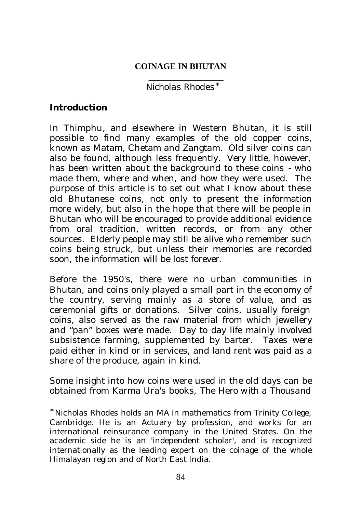#### **COINAGE IN BHUTAN**

# *Nicholas Rhodes\**

## **Introduction**

l

In Thimphu, and elsewhere in Western Bhutan, it is still possible to find many examples of the old copper coins, known as Matam, Chetam and Zangtam. Old silver coins can also be found, although less frequently. Very little, however, has been written about the background to these coins - who made them, where and when, and how they were used. The purpose of this article is to set out what I know about these old Bhutanese coins, not only to present the information more widely, but also in the hope that there will be people in Bhutan who will be encouraged to provide additional evidence from oral tradition, written records, or from any other sources. Elderly people may still be alive who remember such coins being struck, but unless their memories are recorded soon, the information will be lost forever.

Before the 1950's, there were no urban communities in Bhutan, and coins only played a small part in the economy of the country, serving mainly as a store of value, and as ceremonial gifts or donations. Silver coins, usually foreign coins, also served as the raw material from which jewellery and "pan" boxes were made. Day to day life mainly involved subsistence farming, supplemented by barter. Taxes were paid either in kind or in services, and land rent was paid as a share of the produce, again in kind.

Some insight into how coins were used in the old days can be obtained from Karma Ura's books, *The Hero with a Thousand* 

<sup>∗</sup> Nicholas Rhodes holds an MA in mathematics from Trinity College, Cambridge. He is an Actuary by profession, and works for an international reinsurance company in the United States. On the academic side he is an 'independent scholar', and is recognized internationally as the leading expert on the coinage of the whole Himalayan region and of North East India.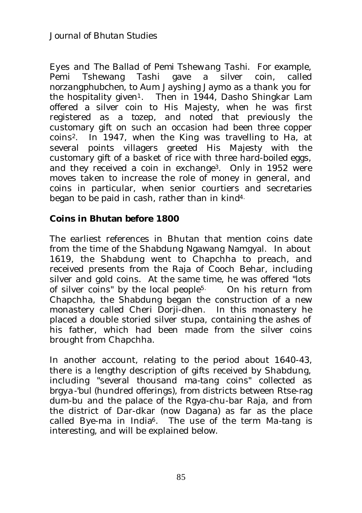*Eyes* and *The Ballad of Pemi Tshewang Tashi.* For example, Pemi Tshewang Tashi gave a silver coin, called *norzangphubchen*, to Aum Jayshing Jaymo as a thank you for the hospitality given<sup>1</sup>. Then in 1944, Dasho Shingkar Lam offered a silver coin to His Majesty, when he was first registered as a *tozep*, and noted that previously the customary gift on such an occasion had been three copper coins2. In 1947, when the King was travelling to Ha, at several points villagers greeted His Majesty with the customary gift of a basket of rice with three hard-boiled eggs, and they received a coin in exchange3. Only in 1952 were moves taken to increase the role of money in general, and coins in particular, when senior courtiers and secretaries began to be paid in cash, rather than in kind4.

## **Coins in Bhutan before 1800**

The earliest references in Bhutan that mention coins date from the time of the Shabdung Ngawang Namgyal. In about 1619, the Shabdung went to Chapchha to preach, and received presents from the Raja of Cooch Behar, including silver and gold coins. At the same time, he was offered "lots" of silver coins" by the local people5. On his return from Chapchha, the Shabdung began the construction of a new monastery called Cheri Dorji-dhen. In this monastery he placed a double storied silver stupa, containing the ashes of his father, which had been made from the silver coins brought from Chapchha.

In another account, relating to the period about 1640-43, there is a lengthy description of gifts received by Shabdung, including "several thousand *ma-tang* coins" collected as *brgya-'bul* (hundred offerings), from districts between Rtse-rag dum-bu and the palace of the Rgya-chu-bar Raja, and from the district of Dar-dkar (now Dagana) as far as the place called Bye-ma in India6. The use of the term *Ma-tang* is interesting, and will be explained below.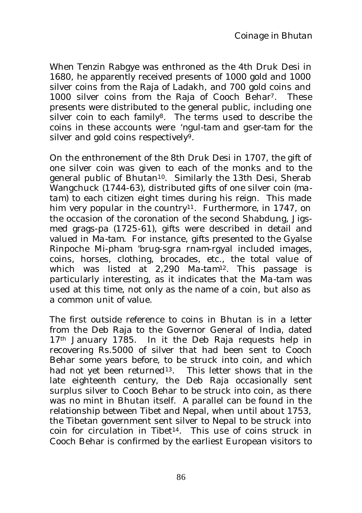When Tenzin Rabgye was enthroned as the 4th Druk Desi in 1680, he apparently received presents of 1000 gold and 1000 silver coins from the Raja of Ladakh, and 700 gold coins and 1000 silver coins from the Raja of Cooch Behar<sup>7</sup>. These presents were distributed to the general public, including one silver coin to each family<sup>8</sup>. The terms used to describe the coins in these accounts were *'ngul-tam* and *gser-tam* for the silver and gold coins respectively<sup>9</sup>.

On the enthronement of the 8th Druk Desi in 1707, the gift of one silver coin was given to each of the monks and to the general public of Bhutan10. Similarly the 13th Desi, Sherab Wangchuck (1744-63), distributed gifts of one silver coin (*matam*) to each citizen eight times during his reign. This made him very popular in the country<sup>11</sup>. Furthermore, in 1747, on the occasion of the coronation of the second Shabdung, Jigsmed grags-pa (1725-61), gifts were described in detail and valued in *Ma-tam.* For instance, gifts presented to the Gyalse Rinpoche Mi-pham 'brug-sgra rnam-rgyal included images, coins, horses, clothing, brocades, etc., the total value of which was listed at 2,290 *Ma-tam*12*.* This passage is particularly interesting, as it indicates that the *Ma-tam* was used at this time, not only as the name of a coin, but also as a common unit of value.

The first outside reference to coins in Bhutan is in a letter from the Deb Raja to the Governor General of India, dated  $17<sup>th</sup>$  January 1785. In it the Deb Raja requests help in recovering Rs.5000 of silver that had been sent to Cooch Behar some years before, to be struck into coin, and which had not yet been returned<sup>13</sup>. This letter shows that in the late eighteenth century, the Deb Raja occasionally sent surplus silver to Cooch Behar to be struck into coin, as there was no mint in Bhutan itself. A parallel can be found in the relationship between Tibet and Nepal, when until about 1753, the Tibetan government sent silver to Nepal to be struck into coin for circulation in Tibet14. This use of coins struck in Cooch Behar is confirmed by the earliest European visitors to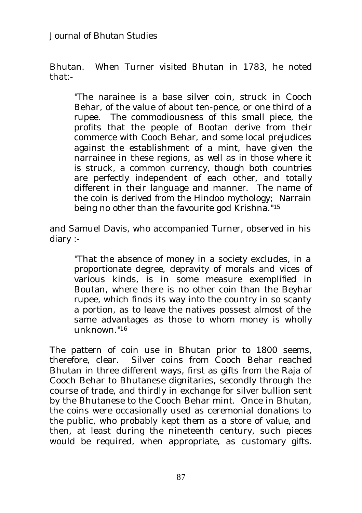Bhutan. When Turner visited Bhutan in 1783, he noted that:-

"The narainee is a base silver coin, struck in Cooch Behar, of the value of about ten-pence, or one third of a rupee. The commodiousness of this small piece, the profits that the people of Bootan derive from their commerce with Cooch Behar, and some local prejudices against the establishment of a mint, have given the narrainee in these regions, as well as in those where it is struck, a common currency, though both countries are perfectly independent of each other, and totally different in their language and manner. The name of the coin is derived from the Hindoo mythology; Narrain being no other than the favourite god Krishna."<sup>15</sup>

and Samuel Davis, who accompanied Turner, observed in his diary :-

"That the absence of money in a society excludes, in a proportionate degree, depravity of morals and vices of various kinds, is in some measure exemplified in Boutan, where there is no other coin than the Beyhar rupee, which finds its way into the country in so scanty a portion, as to leave the natives possest almost of the same advantages as those to whom money is wholly unknown."<sup>16</sup>

The pattern of coin use in Bhutan prior to 1800 seems, therefore, clear. Silver coins from Cooch Behar reached Bhutan in three different ways, first as gifts from the Raja of Cooch Behar to Bhutanese dignitaries, secondly through the course of trade, and thirdly in exchange for silver bullion sent by the Bhutanese to the Cooch Behar mint. Once in Bhutan, the coins were occasionally used as ceremonial donations to the public, who probably kept them as a store of value, and then, at least during the nineteenth century, such pieces would be required, when appropriate, as customary gifts.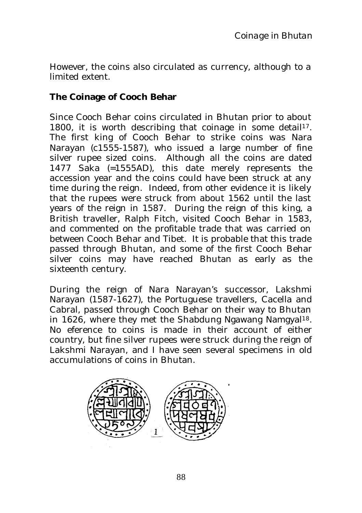However, the coins also circulated as currency, although to a limited extent.

## **The Coinage of Cooch Behar**

Since Cooch Behar coins circulated in Bhutan prior to about 1800, it is worth describing that coinage in some detail<sup>17</sup>. The first king of Cooch Behar to strike coins was Nara Narayan (c1555-1587), who issued a large number of fine silver rupee sized coins. Although all the coins are dated 1477 Saka (=1555AD), this date merely represents the accession year and the coins could have been struck at any time during the reign. Indeed, from other evidence it is likely that the rupees were struck from about 1562 until the last years of the reign in 1587. During the reign of this king, a British traveller, Ralph Fitch, visited Cooch Behar in 1583, and commented on the profitable trade that was carried on between Cooch Behar and Tibet. It is probable that this trade passed through Bhutan, and some of the first Cooch Behar silver coins may have reached Bhutan as early as the sixteenth century.

During the reign of Nara Narayan's successor, Lakshmi Narayan (1587-1627), the Portuguese travellers, Cacella and Cabral, passed through Cooch Behar on their way to Bhutan in 1626, where they met the Shabdung Ngawang Namgyal18. No eference to coins is made in their account of either country, but fine silver rupees were struck during the reign of Lakshmi Narayan, and I have seen several specimens in old accumulations of coins in Bhutan.

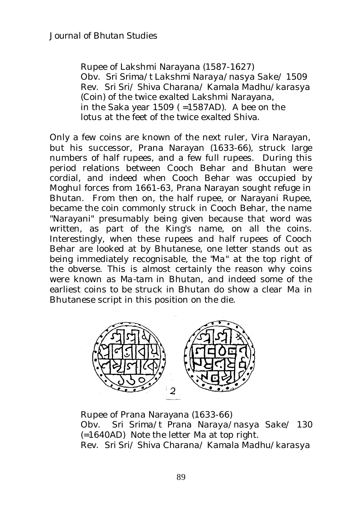Rupee of Lakshmi Narayana (1587-1627) Obv. *Sri Srima/t Lakshmi Naraya/nasya Sake/ 1509* Rev. *Sri Sri/ Shiva Charana/ Kamala Madhu/karasya* (Coin) of the twice exalted Lakshmi Narayana, in the Saka year  $1509$  (=1587AD). A bee on the lotus at the feet of the twice exalted Shiva.

Only a few coins are known of the next ruler, Vira Narayan, but his successor, Prana Narayan (1633-66), struck large numbers of half rupees, and a few full rupees. During this period relations between Cooch Behar and Bhutan were cordial, and indeed when Cooch Behar was occupied by Moghul forces from 1661-63, Prana Narayan sought refuge in Bhutan. From then on, the half rupee, or Narayani Rupee, became the coin commonly struck in Cooch Behar, the name "Narayani" presumably being given because that word was written, as part of the King's name, on all the coins. Interestingly, when these rupees and half rupees of Cooch Behar are looked at by Bhutanese, one letter stands out as being immediately recognisable, the "*Ma*" at the top right of the obverse. This is almost certainly the reason why coins were known as *Ma-tam* in Bhutan, and indeed some of the earliest coins to be struck in Bhutan do show a clear *Ma* in Bhutanese script in this position on the die.



Rupee of Prana Narayana (1633-66) Obv. *Sri Srima/t Prana Naraya/nasya Sake/ 130* (=1640AD) Note the letter *Ma* at top right. Rev. *Sri Sri/ Shiva Charana/ Kamala Madhu/karasya*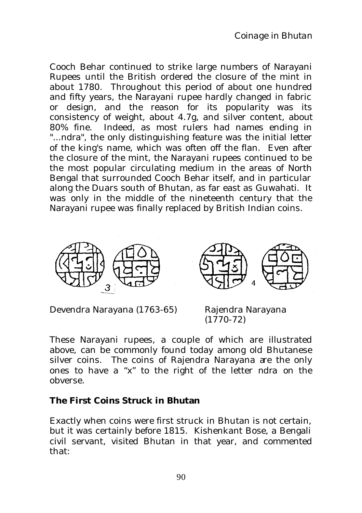Cooch Behar continued to strike large numbers of Narayani Rupees until the British ordered the closure of the mint in about 1780. Throughout this period of about one hundred and fifty years, the Narayani rupee hardly changed in fabric or design, and the reason for its popularity was its consistency of weight, about 4.7g, and silver content, about 80% fine. Indeed, as most rulers had names ending in "...ndra", the only distinguishing feature was the initial letter of the king's name, which was often off the flan. Even after the closure of the mint, the Narayani rupees continued to be the most popular circulating medium in the areas of North Bengal that surrounded Cooch Behar itself, and in particular along the Duars south of Bhutan, as far east as Guwahati. It was only in the middle of the nineteenth century that the Narayani rupee was finally replaced by British Indian coins.



Devendra Narayana (1763-65) Rajendra Narayana

 $(1770-72)$ 

These Narayani rupees, a couple of which are illustrated above, can be commonly found today among old Bhutanese silver coins. The coins of Rajendra Narayana are the only ones to have a "x" to the right of the letter *ndra* on the obverse.

### **The First Coins Struck in Bhutan**

Exactly when coins were first struck in Bhutan is not certain, but it was certainly before 1815. Kishenkant Bose, a Bengali civil servant, visited Bhutan in that year, and commented that: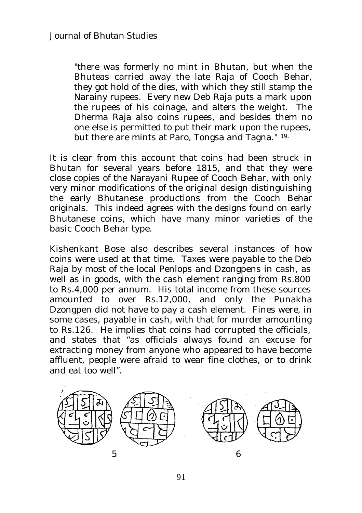"there was formerly no mint in Bhutan, but when the Bhuteas carried away the late Raja of Cooch Behar, they got hold of the dies, with which they still stamp the Narainy rupees. Every new Deb Raja puts a mark upon the rupees of his coinage, and alters the weight. The Dherma Raja also coins rupees, and besides them no one else is permitted to put their mark upon the rupees, but there are mints at Paro, Tongsa and Tagna." 19.

It is clear from this account that coins had been struck in Bhutan for several years before 1815, and that they were close copies of the Narayani Rupee of Cooch Behar, with only very minor modifications of the original design distinguishing the early Bhutanese productions from the Cooch Behar originals. This indeed agrees with the designs found on early Bhutanese coins, which have many minor varieties of the basic Cooch Behar type.

Kishenkant Bose also describes several instances of how coins were used at that time. Taxes were payable to the Deb Raja by most of the local Penlops and Dzongpens in cash, as well as in goods, with the cash element ranging from Rs.800 to Rs.4,000 per annum. His total income from these sources amounted to over Rs.12,000, and only the Punakha Dzongpen did not have to pay a cash element. Fines were, in some cases, payable in cash, with that for murder amounting to Rs.126. He implies that coins had corrupted the officials, and states that "as officials always found an excuse for extracting money from anyone who appeared to have become affluent, people were afraid to wear fine clothes, or to drink and eat too well".

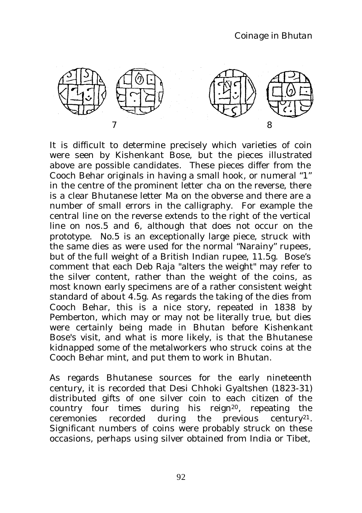

It is difficult to determine precisely which varieties of coin were seen by Kishenkant Bose, but the pieces illustrated above are possible candidates. These pieces differ from the Cooch Behar originals in having a small hook, or numeral "1" in the centre of the prominent letter *cha* on the reverse, there is a clear Bhutanese letter *Ma* on the obverse and there are a number of small errors in the calligraphy. For example the central line on the reverse extends to the right of the vertical line on nos.5 and 6, although that does not occur on the prototype. No.5 is an exceptionally large piece, struck with the same dies as were used for the normal "Narainy" rupees, but of the full weight of a British Indian rupee, 11.5g. Bose's comment that each Deb Raja "alters the weight" may refer to the silver content, rather than the weight of the coins, as most known early specimens are of a rather consistent weight standard of about 4.5g. As regards the taking of the dies from Cooch Behar, this is a nice story, repeated in 1838 by Pemberton, which may or may not be literally true, but dies were certainly being made in Bhutan before Kishenkant Bose's visit, and what is more likely, is that the Bhutanese kidnapped some of the metalworkers who struck coins at the Cooch Behar mint, and put them to work in Bhutan.

As regards Bhutanese sources for the early nineteenth century, it is recorded that Desi Chhoki Gyaltshen (1823-31) distributed gifts of one silver coin to each citizen of the country four times during his reign20, repeating the ceremonies recorded during the previous century21. Significant numbers of coins were probably struck on these occasions, perhaps using silver obtained from India or Tibet,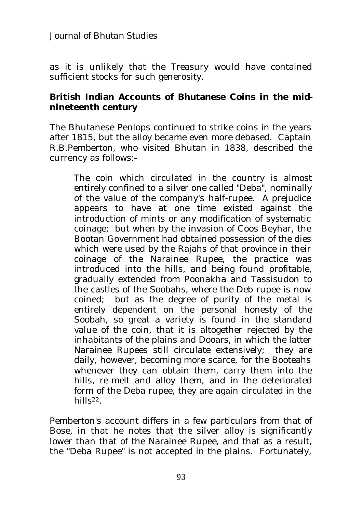*Journal of Bhutan Studies*

as it is unlikely that the Treasury would have contained sufficient stocks for such generosity.

## **British Indian Accounts of Bhutanese Coins in the midnineteenth century**

The Bhutanese Penlops continued to strike coins in the years after 1815, but the alloy became even more debased. Captain R.B.Pemberton, who visited Bhutan in 1838, described the currency as follows:-

The coin which circulated in the country is almost entirely confined to a silver one called "Deba", nominally of the value of the company's half-rupee. A prejudice appears to have at one time existed against the introduction of mints or any modification of systematic coinage; but when by the invasion of Coos Beyhar, the Bootan Government had obtained possession of the dies which were used by the Rajahs of that province in their coinage of the Narainee Rupee, the practice was introduced into the hills, and being found profitable, gradually extended from Poonakha and Tassisudon to the castles of the Soobahs, where the Deb rupee is now coined; but as the degree of purity of the metal is entirely dependent on the personal honesty of the Soobah, so great a variety is found in the standard value of the coin, that it is altogether rejected by the inhabitants of the plains and Dooars, in which the latter Narainee Rupees still circulate extensively; they are daily, however, becoming more scarce, for the Booteahs whenever they can obtain them, carry them into the hills, re-melt and alloy them, and in the deteriorated form of the Deba rupee, they are again circulated in the hills22.

Pemberton's account differs in a few particulars from that of Bose, in that he notes that the silver alloy is significantly lower than that of the Narainee Rupee, and that as a result, the "Deba Rupee" is not accepted in the plains. Fortunately,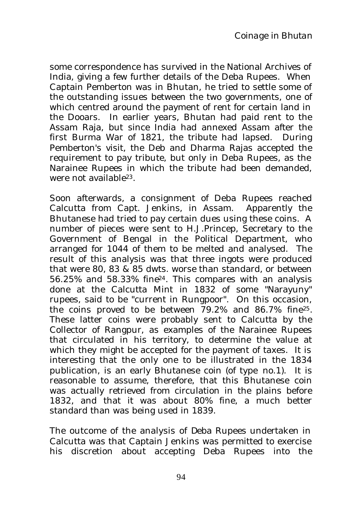some correspondence has survived in the National Archives of India, giving a few further details of the Deba Rupees. When Captain Pemberton was in Bhutan, he tried to settle some of the outstanding issues between the two governments, one of which centred around the payment of rent for certain land in the Dooars. In earlier years, Bhutan had paid rent to the Assam Raja, but since India had annexed Assam after the first Burma War of 1821, the tribute had lapsed. During Pemberton's visit, the Deb and Dharma Rajas accepted the requirement to pay tribute, but only in Deba Rupees, as the Narainee Rupees in which the tribute had been demanded, were not available23.

Soon afterwards, a consignment of Deba Rupees reached Calcutta from Capt. Jenkins, in Assam. Apparently the Bhutanese had tried to pay certain dues using these coins. A number of pieces were sent to H.J.Princep, Secretary to the Government of Bengal in the Political Department, who arranged for 1044 of them to be melted and analysed. The result of this analysis was that three ingots were produced that were 80, 83  $\&$  85 dwts. worse than standard, or between 56.25% and 58.33% fine24. This compares with an analysis done at the Calcutta Mint in 1832 of some "Narayuny" rupees, said to be "current in Rungpoor". On this occasion, the coins proved to be between 79.2% and 86.7% fine25. These latter coins were probably sent to Calcutta by the Collector of Rangpur, as examples of the Narainee Rupees that circulated in his territory, to determine the value at which they might be accepted for the payment of taxes. It is interesting that the only one to be illustrated in the 1834 publication, is an early Bhutanese coin (of type no.1). It is reasonable to assume, therefore, that this Bhutanese coin was actually retrieved from circulation in the plains before 1832, and that it was about 80% fine, a much better standard than was being used in 1839.

The outcome of the analysis of Deba Rupees undertaken in Calcutta was that Captain Jenkins was permitted to exercise his discretion about accepting Deba Rupees into the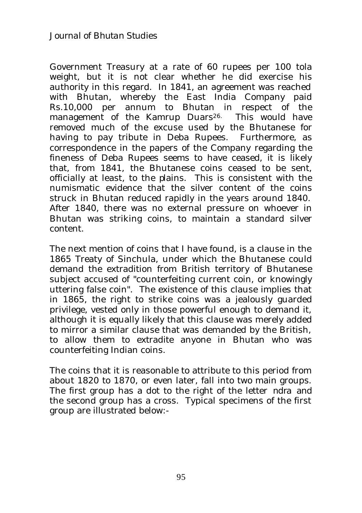Government Treasury at a rate of 60 rupees per 100 tola weight, but it is not clear whether he did exercise his authority in this regard. In 1841, an agreement was reached with Bhutan, whereby the East India Company paid Rs.10,000 per annum to Bhutan in respect of the management of the Kamrup Duars<sup>26.</sup> This would have removed much of the excuse used by the Bhutanese for having to pay tribute in Deba Rupees. Furthermore, as correspondence in the papers of the Company regarding the fineness of Deba Rupees seems to have ceased, it is likely that, from 1841, the Bhutanese coins ceased to be sent, officially at least, to the plains. This is consistent with the numismatic evidence that the silver content of the coins struck in Bhutan reduced rapidly in the years around 1840. After 1840, there was no external pressure on whoever in Bhutan was striking coins, to maintain a standard silver content.

The next mention of coins that I have found, is a clause in the 1865 Treaty of Sinchula, under which the Bhutanese could demand the extradition from British territory of Bhutanese subject accused of "counterfeiting current coin, or knowingly uttering false coin". The existence of this clause implies that in 1865, the right to strike coins was a jealously guarded privilege, vested only in those powerful enough to demand it, although it is equally likely that this clause was merely added to mirror a similar clause that was demanded by the British, to allow them to extradite anyone in Bhutan who was counterfeiting Indian coins.

The coins that it is reasonable to attribute to this period from about 1820 to 1870, or even later, fall into two main groups. The first group has a dot to the right of the letter *ndra* and the second group has a cross. Typical specimens of the first group are illustrated below:-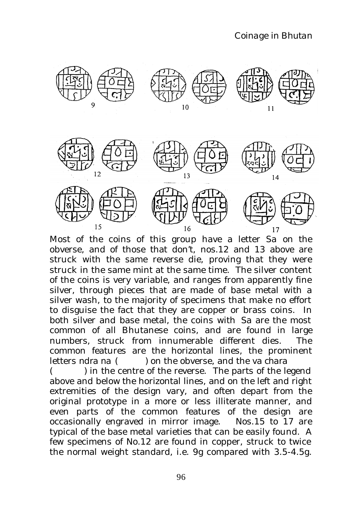

Most of the coins of this group have a letter *Sa* on the obverse, and of those that don't, nos.12 and 13 above are struck with the same reverse die, proving that they were struck in the same mint at the same time. The silver content of the coins is very variable, and ranges from apparently fine silver, through pieces that are made of base metal with a silver wash, to the majority of specimens that make no effort to disguise the fact that they are copper or brass coins. In both silver and base metal, the coins with *S*a are the most common of all Bhutanese coins, and are found in large numbers, struck from innumerable different dies. The common features are the horizontal lines, the prominent letters *ndra na* ( ) on the obverse, and the *va chara*

() in the centre of the reverse. The parts of the legend above and below the horizontal lines, and on the left and right extremities of the design vary, and often depart from the original prototype in a more or less illiterate manner, and even parts of the common features of the design are occasionally engraved in mirror image. Nos.15 to 17 are typical of the base metal varieties that can be easily found. A few specimens of No.12 are found in copper, struck to twice the normal weight standard, i.e. 9g compared with 3.5-4.5g.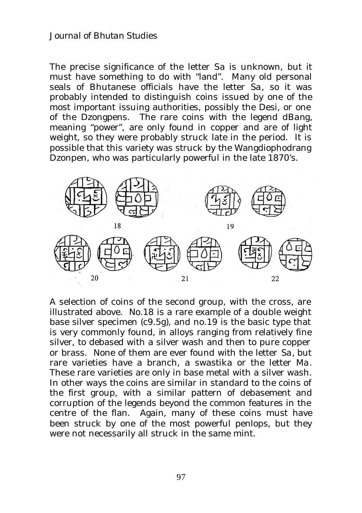### *Journal of Bhutan Studies*

The precise significance of the letter *Sa* is unknown, but it must have something to do with "land". Many old personal seals of Bhutanese officials have the letter *Sa*, so it was probably intended to distinguish coins issued by one of the most important issuing authorities, possibly the Desi, or one of the Dzongpens. The rare coins with the legend *dBang*, meaning "power", are only found in copper and are of light weight, so they were probably struck late in the period. It is possible that this variety was struck by the Wangdiophodrang Dzonpen, who was particularly powerful in the late 1870's.



A selection of coins of the second group, with the cross, are illustrated above. No.18 is a rare example of a double weight base silver specimen (c9.5g), and no.19 is the basic type that is very commonly found, in alloys ranging from relatively fine silver, to debased with a silver wash and then to pure copper or brass. None of them are ever found with the letter *Sa*, but rare varieties have a branch, a swastika or the letter *Ma*. These rare varieties are only in base metal with a silver wash. In other ways the coins are similar in standard to the coins of the first group, with a similar pattern of debasement and corruption of the legends beyond the common features in the centre of the flan. Again, many of these coins must have been struck by one of the most powerful penlops, but they were not necessarily all struck in the same mint.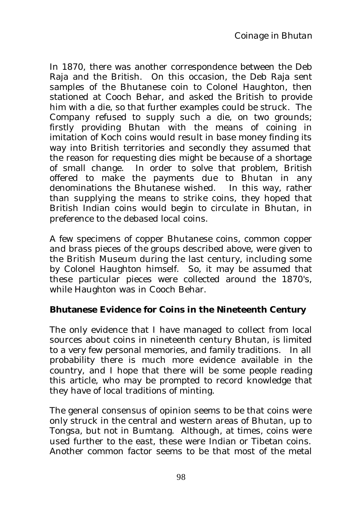In 1870, there was another correspondence between the Deb Raja and the British. On this occasion, the Deb Raja sent samples of the Bhutanese coin to Colonel Haughton, then stationed at Cooch Behar, and asked the British to provide him with a die, so that further examples could be struck. The Company refused to supply such a die, on two grounds; firstly providing Bhutan with the means of coining in imitation of Koch coins would result in base money finding its way into British territories and secondly they assumed that the reason for requesting dies might be because of a shortage of small change. In order to solve that problem, British offered to make the payments due to Bhutan in any denominations the Bhutanese wished. In this way, rather than supplying the means to strike coins, they hoped that British Indian coins would begin to circulate in Bhutan, in preference to the debased local coins.

A few specimens of copper Bhutanese coins, common copper and brass pieces of the groups described above, were given to the British Museum during the last century, including some by Colonel Haughton himself. So, it may be assumed that these particular pieces were collected around the 1870's, while Haughton was in Cooch Behar.

## **Bhutanese Evidence for Coins in the Nineteenth Century**

The only evidence that I have managed to collect from local sources about coins in nineteenth century Bhutan, is limited to a very few personal memories, and family traditions. In all probability there is much more evidence available in the country, and I hope that there will be some people reading this article, who may be prompted to record knowledge that they have of local traditions of minting.

The general consensus of opinion seems to be that coins were only struck in the central and western areas of Bhutan, up to Tongsa, but not in Bumtang. Although, at times, coins were used further to the east, these were Indian or Tibetan coins. Another common factor seems to be that most of the metal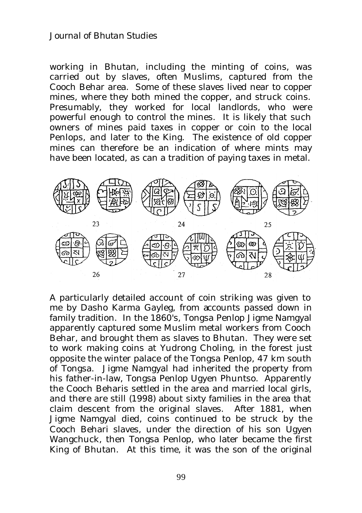#### *Journal of Bhutan Studies*

working in Bhutan, including the minting of coins, was carried out by slaves, often Muslims, captured from the Cooch Behar area. Some of these slaves lived near to copper mines, where they both mined the copper, and struck coins. Presumably, they worked for local landlords, who were powerful enough to control the mines. It is likely that such owners of mines paid taxes in copper or coin to the local Penlops, and later to the King. The existence of old copper mines can therefore be an indication of where mints may have been located, as can a tradition of paying taxes in metal.



A particularly detailed account of coin striking was given to me by Dasho Karma Gayleg, from accounts passed down in family tradition. In the 1860's, Tongsa Penlop Jigme Namgyal apparently captured some Muslim metal workers from Cooch Behar, and brought them as slaves to Bhutan. They were set to work making coins at Yudrong Choling, in the forest just opposite the winter palace of the Tongsa Penlop, 47 km south of Tongsa. Jigme Namgyal had inherited the property from his father-in-law, Tongsa Penlop Ugyen Phuntso. Apparently the Cooch Beharis settled in the area and married local girls, and there are still (1998) about sixty families in the area that claim descent from the original slaves. After 1881, when Jigme Namgyal died, coins continued to be struck by the Cooch Behari slaves, under the direction of his son Ugyen Wangchuck, then Tongsa Penlop, who later became the first King of Bhutan. At this time, it was the son of the original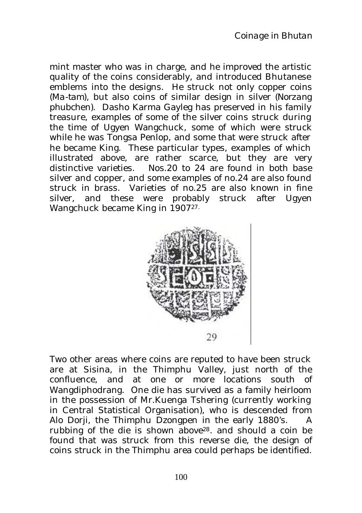mint master who was in charge, and he improved the artistic quality of the coins considerably, and introduced Bhutanese emblems into the designs. He struck not only copper coins (*Ma-tam)*, but also coins of similar design in silver *(Norzang phubchen).* Dasho Karma Gayleg has preserved in his family treasure, examples of some of the silver coins struck during the time of Ugyen Wangchuck, some of which were struck while he was Tongsa Penlop, and some that were struck after he became King. These particular types, examples of which illustrated above, are rather scarce, but they are very distinctive varieties. Nos.20 to 24 are found in both base silver and copper, and some examples of no.24 are also found struck in brass. Varieties of no.25 are also known in fine silver, and these were probably struck after Ugyen Wangchuck became King in 1907<sup>27.</sup>



Two other areas where coins are reputed to have been struck are at Sisina, in the Thimphu Valley, just north of the confluence, and at one or more locations south of Wangdiphodrang. One die has survived as a family heirloom in the possession of Mr.Kuenga Tshering (currently working in Central Statistical Organisation), who is descended from Alo Dorji, the Thimphu Dzongpen in the early 1880's. A rubbing of the die is shown above28. and should a coin be found that was struck from this reverse die, the design of coins struck in the Thimphu area could perhaps be identified.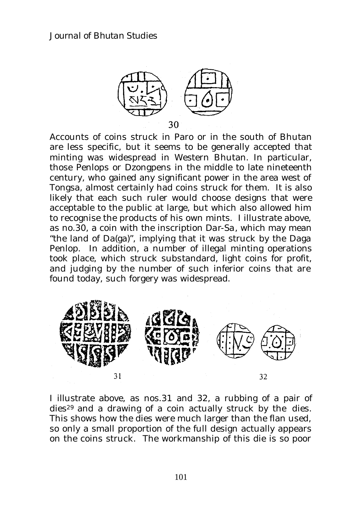

Accounts of coins struck in Paro or in the south of Bhutan are less specific, but it seems to be generally accepted that minting was widespread in Western Bhutan. In particular, those Penlops or Dzongpens in the middle to late nineteenth century, who gained any significant power in the area west of Tongsa, almost certainly had coins struck for them. It is also likely that each such ruler would choose designs that were acceptable to the public at large, but which also allowed him to recognise the products of his own mints. I illustrate above, as no.30, a coin with the inscription *Dar*-*Sa*, which may mean "the land of Da(ga)", implying that it was struck by the Daga Penlop. In addition, a number of illegal minting operations took place, which struck substandard, light coins for profit, and judging by the number of such inferior coins that are found today, such forgery was widespread.



I illustrate above, as nos.31 and 32, a rubbing of a pair of dies<sup>29</sup> and a drawing of a coin actually struck by the dies. This shows how the dies were much larger than the flan used, so only a small proportion of the full design actually appears on the coins struck. The workmanship of this die is so poor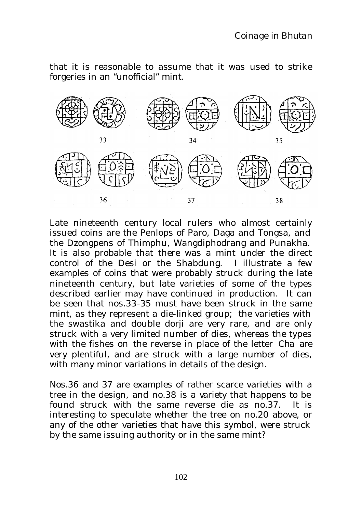that it is reasonable to assume that it was used to strike forgeries in an "unofficial" mint.



Late nineteenth century local rulers who almost certainly issued coins are the Penlops of Paro, Daga and Tongsa, and the Dzongpens of Thimphu, Wangdiphodrang and Punakha. It is also probable that there was a mint under the direct control of the Desi or the Shabdung. I illustrate a few examples of coins that were probably struck during the late nineteenth century, but late varieties of some of the types described earlier may have continued in production. It can be seen that nos.33-35 must have been struck in the same mint, as they represent a die-linked group; the varieties with the swastika and double dorji are very rare, and are only struck with a very limited number of dies, whereas the types with the fishes on the reverse in place of the letter *Cha* are very plentiful, and are struck with a large number of dies, with many minor variations in details of the design.

Nos.36 and 37 are examples of rather scarce varieties with a tree in the design, and no.38 is a variety that happens to be found struck with the same reverse die as no.37. It is interesting to speculate whether the tree on no.20 above, or any of the other varieties that have this symbol, were struck by the same issuing authority or in the same mint?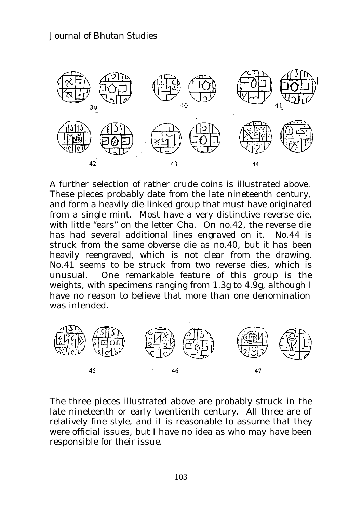

A further selection of rather crude coins is illustrated above. These pieces probably date from the late nineteenth century, and form a heavily die-linked group that must have originated from a single mint. Most have a very distinctive reverse die, with little "ears" on the letter *Cha*. On no.42, the reverse die has had several additional lines engraved on it. No.44 is struck from the same obverse die as no.40, but it has been heavily reengraved, which is not clear from the drawing. No.41 seems to be struck from two reverse dies, which is unusual. One remarkable feature of this group is the weights, with specimens ranging from 1.3g to 4.9g, although I have no reason to believe that more than one denomination was intended.



The three pieces illustrated above are probably struck in the late nineteenth or early twentienth century. All three are of relatively fine style, and it is reasonable to assume that they were official issues, but I have no idea as who may have been responsible for their issue.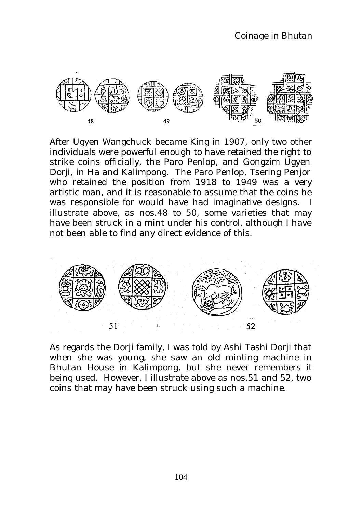

After Ugyen Wangchuck became King in 1907, only two other individuals were powerful enough to have retained the right to strike coins officially, the Paro Penlop, and Gongzim Ugyen Dorji, in Ha and Kalimpong. The Paro Penlop, Tsering Penjor who retained the position from 1918 to 1949 was a very artistic man, and it is reasonable to assume that the coins he was responsible for would have had imaginative designs. I illustrate above, as nos.48 to 50, some varieties that may have been struck in a mint under his control, although I have not been able to find any direct evidence of this.



As regards the Dorji family, I was told by Ashi Tashi Dorji that when she was young, she saw an old minting machine in Bhutan House in Kalimpong, but she never remembers it being used. However, I illustrate above as nos.51 and 52, two coins that may have been struck using such a machine.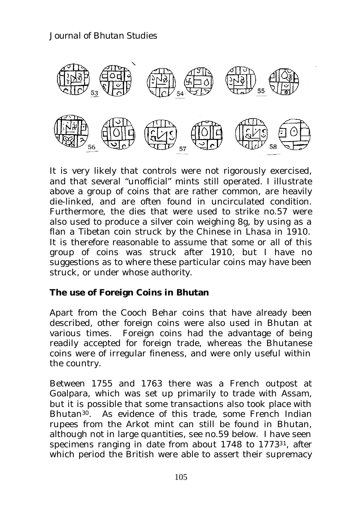

It is very likely that controls were not rigorously exercised, and that several "unofficial" mints still operated. I illustrate above a group of coins that are rather common, are heavily die-linked, and are often found in uncirculated condition. Furthermore, the dies that were used to strike no.57 were also used to produce a silver coin weighing 8g, by using as a flan a Tibetan coin struck by the Chinese in Lhasa in 1910. It is therefore reasonable to assume that some or all of this group of coins was struck after 1910, but I have no suggestions as to where these particular coins may have been struck, or under whose authority.

### **The use of Foreign Coins in Bhutan**

Apart from the Cooch Behar coins that have already been described, other foreign coins were also used in Bhutan at various times. Foreign coins had the advantage of being readily accepted for foreign trade, whereas the Bhutanese coins were of irregular fineness, and were only useful within the country.

Between 1755 and 1763 there was a French outpost at Goalpara, which was set up primarily to trade with Assam, but it is possible that some transactions also took place with Bhutan<sup>30</sup>. As evidence of this trade, some French Indian rupees from the Arkot mint can still be found in Bhutan, although not in large quantities, see no.59 below. I have seen specimens ranging in date from about 1748 to 177331, after which period the British were able to assert their supremacy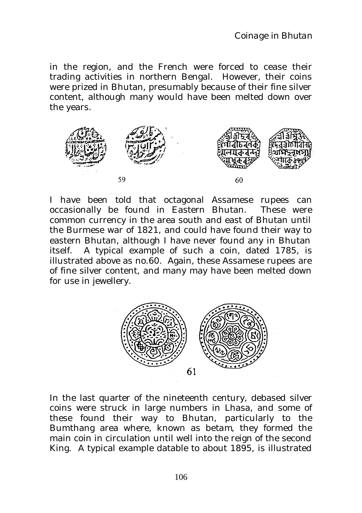in the region, and the French were forced to cease their trading activities in northern Bengal. However, their coins were prized in Bhutan, presumably because of their fine silver content, although many would have been melted down over the years.



I have been told that octagonal Assamese rupees can occasionally be found in Eastern Bhutan. These were common currency in the area south and east of Bhutan until the Burmese war of 1821, and could have found their way to eastern Bhutan, although I have never found any in Bhutan itself. A typical example of such a coin, dated 1785, is illustrated above as no.60. Again, these Assamese rupees are of fine silver content, and many may have been melted down for use in jewellery.



In the last quarter of the nineteenth century, debased silver coins were struck in large numbers in Lhasa, and some of these found their way to Bhutan, particularly to the Bumthang area where, known as *betam*, they formed the main coin in circulation until well into the reign of the second King. A typical example datable to about 1895, is illustrated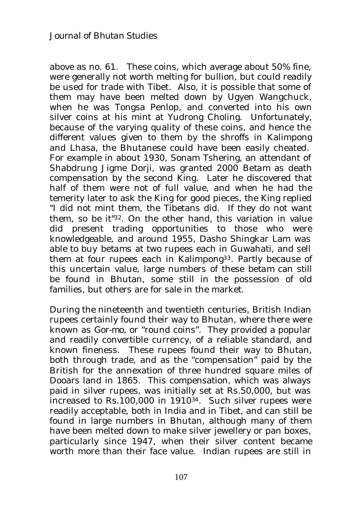above as no. 61. These coins, which average about 50% fine, were generally not worth melting for bullion, but could readily be used for trade with Tibet. Also, it is possible that some of them may have been melted down by Ugyen Wangchuck, when he was Tongsa Penlop, and converted into his own silver coins at his mint at Yudrong Choling. Unfortunately, because of the varying quality of these coins, and hence the different values given to them by the shroffs in Kalimpong and Lhasa, the Bhutanese could have been easily cheated. For example in about 1930, Sonam Tshering, an attendant of Shabdrung Jigme Dorji, was granted 2000 *Betam* as death compensation by the second King. Later he discovered that half of them were not of full value, and when he had the temerity later to ask the King for good pieces, the King replied "I did not mint them, the Tibetans did. If they do not want them, so be it" <sup>32</sup>. On the other hand, this variation in value did present trading opportunities to those who were knowledgeable, and around 1955, Dasho Shingkar Lam was able to buy *betams* at two rupees each in Guwahati, and sell them at four rupees each in Kalimpong33. Partly because of this uncertain value, large numbers of these *betam* can still be found in Bhutan, some still in the possession of old families, but others are for sale in the market.

During the nineteenth and twentieth centuries, British Indian rupees certainly found their way to Bhutan, where there were known as *Gor-mo*, or "round coins". They provided a popular and readily convertible currency, of a reliable standard, and known fineness. These rupees found their way to Bhutan, both through trade, and as the "compensation" paid by the British for the annexation of three hundred square miles of Dooars land in 1865. This compensation, which was always paid in silver rupees, was initially set at Rs.50,000, but was increased to Rs.100,000 in 191034. Such silver rupees were readily acceptable, both in India and in Tibet, and can still be found in large numbers in Bhutan, although many of them have been melted down to make silver jewellery or pan boxes, particularly since 1947, when their silver content became worth more than their face value. Indian rupees are still in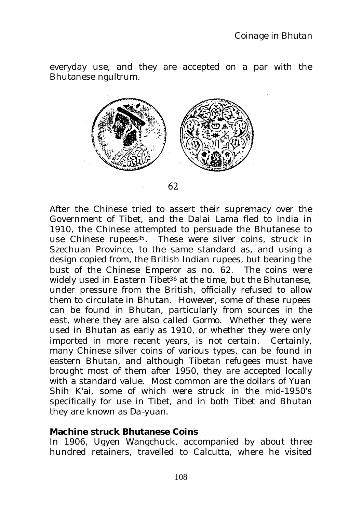everyday use, and they are accepted on a par with the Bhutanese ngultrum.



62

After the Chinese tried to assert their supremacy over the Government of Tibet, and the Dalai Lama fled to India in 1910, the Chinese attempted to persuade the Bhutanese to use Chinese rupees<sup>35</sup>. These were silver coins, struck in Szechuan Province, to the same standard as, and using a design copied from, the British Indian rupees, but bearing the bust of the Chinese Emperor as no. 62. The coins were widely used in Eastern Tibet<sup>36</sup> at the time, but the Bhutanese, under pressure from the British, officially refused to allow them to circulate in Bhutan. However, some of these rupees can be found in Bhutan, particularly from sources in the east, where they are also called *Gormo*. Whether they were used in Bhutan as early as 1910, or whether they were only imported in more recent years, is not certain. Certainly, many Chinese silver coins of various types, can be found in eastern Bhutan, and although Tibetan refugees must have brought most of them after 1950, they are accepted locally with a standard value. Most common are the dollars of Yuan Shih K'ai, some of which were struck in the mid-1950's specifically for use in Tibet, and in both Tibet and Bhutan they are known as *Da-yuan.*

#### **Machine struck Bhutanese Coins**

In 1906, Ugyen Wangchuck, accompanied by about three hundred retainers, travelled to Calcutta, where he visited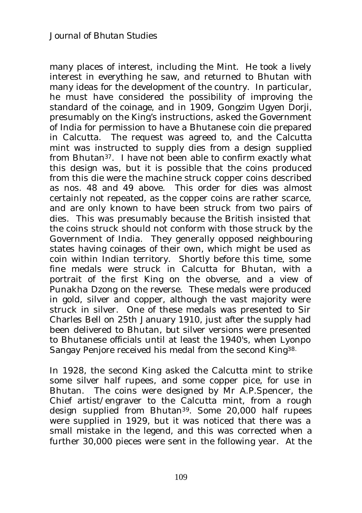many places of interest, including the Mint. He took a lively interest in everything he saw, and returned to Bhutan with many ideas for the development of the country. In particular, he must have considered the possibility of improving the standard of the coinage, and in 1909, Gongzim Ugyen Dorji, presumably on the King's instructions, asked the Government of India for permission to have a Bhutanese coin die prepared in Calcutta. The request was agreed to, and the Calcutta mint was instructed to supply dies from a design supplied from Bhutan37. I have not been able to confirm exactly what this design was, but it is possible that the coins produced from this die were the machine struck copper coins described as nos. 48 and 49 above. This order for dies was almost certainly not repeated, as the copper coins are rather scarce, and are only known to have been struck from two pairs of dies. This was presumably because the British insisted that the coins struck should not conform with those struck by the Government of India. They generally opposed neighbouring states having coinages of their own, which might be used as coin within Indian territory. Shortly before this time, some fine medals were struck in Calcutta for Bhutan, with a portrait of the first King on the obverse, and a view of Punakha Dzong on the reverse. These medals were produced in gold, silver and copper, although the vast majority were struck in silver. One of these medals was presented to Sir Charles Bell on 25th January 1910, just after the supply had been delivered to Bhutan, but silver versions were presented to Bhutanese officials until at least the 1940's, when Lyonpo Sangay Penjore received his medal from the second King38.

In 1928, the second King asked the Calcutta mint to strike some silver half rupees, and some copper pice, for use in Bhutan. The coins were designed by Mr A.P.Spencer, the Chief artist/engraver to the Calcutta mint, from a rough design supplied from Bhutan<sup>39</sup>. Some 20,000 half rupees were supplied in 1929, but it was noticed that there was a small mistake in the legend, and this was corrected when a further 30,000 pieces were sent in the following year. At the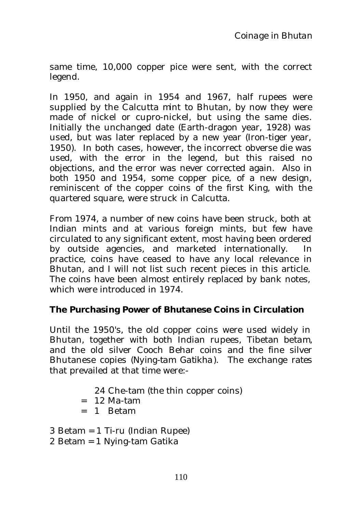same time, 10,000 copper pice were sent, with the correct legend.

In 1950, and again in 1954 and 1967, half rupees were supplied by the Calcutta mint to Bhutan, by now they were made of nickel or cupro-nickel, but using the same dies. Initially the unchanged date (Earth-dragon year, 1928) was used, but was later replaced by a new year (Iron-tiger year, 1950). In both cases, however, the incorrect obverse die was used, with the error in the legend, but this raised no objections, and the error was never corrected again. Also in both 1950 and 1954, some copper pice, of a new design, reminiscent of the copper coins of the first King, with the quartered square, were struck in Calcutta.

From 1974, a number of new coins have been struck, both at Indian mints and at various foreign mints, but few have circulated to any significant extent, most having been ordered by outside agencies, and marketed internationally. In practice, coins have ceased to have any local relevance in Bhutan, and I will not list such recent pieces in this article. The coins have been almost entirely replaced by bank notes, which were introduced in 1974.

## **The Purchasing Power of Bhutanese Coins in Circulation**

Until the 1950's, the old copper coins were used widely in Bhutan, together with both Indian rupees, Tibetan *betam*, and the old silver Cooch Behar coins and the fine silver Bhutanese copies (*Nying-tam Gatikha*). The exchange rates that prevailed at that time were:-

24 Che-tam (the thin copper coins)

- $= 12$  Ma-tam
- $= 1$  Betam

3 Betam = 1 Ti-ru (Indian Rupee)

2 Betam = 1 Nying-tam Gatika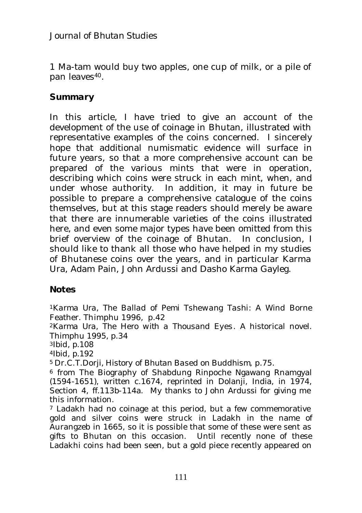1 Ma-tam would buy two apples, one cup of milk, or a pile of pan leaves<sup>40</sup>.

## *Summary*

In this article, I have tried to give an account of the development of the use of coinage in Bhutan, illustrated with representative examples of the coins concerned. I sincerely hope that additional numismatic evidence will surface in future years, so that a more comprehensive account can be prepared of the various mints that were in operation, describing which coins were struck in each mint, when, and under whose authority. In addition, it may in future be possible to prepare a comprehensive catalogue of the coins themselves, but at this stage readers should merely be aware that there are innumerable varieties of the coins illustrated here, and even some major types have been omitted from this brief overview of the coinage of Bhutan. In conclusion, I should like to thank all those who have helped in my studies of Bhutanese coins over the years, and in particular Karma Ura, Adam Pain, John Ardussi and Dasho Karma Gayleg.

### **Notes**

<sup>1</sup>*Karma Ura, The Ballad of Pemi Tshewang Tashi*: A Wind Borne Feather. Thimphu 1996, p.42

<sup>2</sup>*Karma Ura, The Hero with a Thousand Eyes*. A historical novel. Thimphu 1995, p.34

<sup>3</sup>*Ibid,* p.108

<sup>4</sup>*Ibid,* p.192

<sup>5</sup> Dr.C.T.Dorji, *History of Bhutan Based on Buddhism*, p.75.

<sup>6</sup> from The Biography of Shabdung Rinpoche Ngawang Rnamgyal (1594-1651), written c.1674, reprinted in Dolanji, India, in 1974, Section 4, ff.113b-114a. My thanks to John Ardussi for giving me this information.

<sup>7</sup> Ladakh had no coinage at this period, but a few commemorative gold and silver coins were struck in Ladakh in the name of Aurangzeb in 1665, so it is possible that some of these were sent as gifts to Bhutan on this occasion. Until recently none of these Ladakhi coins had been seen, but a gold piece recently appeared on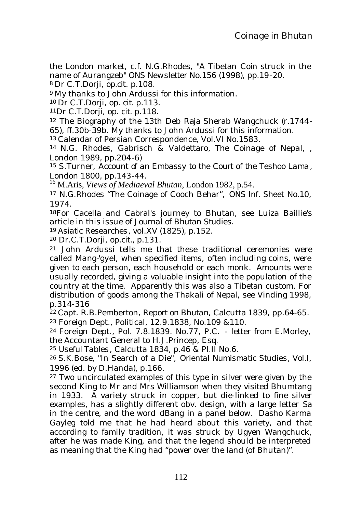the London market, c.f. N.G.Rhodes, "A Tibetan Coin struck in the name of Aurangzeb" *ONS Newsletter* No.156 (1998), pp.19-20. <sup>8</sup> Dr C.T.Dorji, *op.cit*. p.108.

<sup>9</sup> My thanks to John Ardussi for this information.

<sup>10</sup> Dr C.T.Dorji, *op. cit*. p.113.

<sup>11</sup>Dr C.T.Dorji, *op. cit*. p.118.

<sup>12</sup> The Biography of the 13th Deb Raja Sherab Wangchuck (r.1744- 65), ff.30b-39b. My thanks to John Ardussi for this information.

<sup>13</sup> Calendar of Persian Correspondence, Vol.VI No.1583.

<sup>14</sup> N.G. Rhodes, Gabrisch & Valdettaro, *The Coinage of Nepal*, , London 1989, pp.204-6)

<sup>15</sup> S.Turner, *Account of an Embassy to the Court of the Teshoo Lama*, London 1800, pp.143-44.

<sup>16</sup> M.Aris, *Views of Mediaeval Bhutan*, London 1982, p.54.

<sup>17</sup> N.G.Rhodes "The Coinage of Cooch Behar", *ONS Inf. Sheet* No.10, 1974.

<sup>18</sup>For Cacella and Cabral's journey to Bhutan, see Luiza Baillie's article in this issue of *Journal of Bhutan Studies.*

<sup>19</sup> *Asiatic Researches*, vol.XV (1825), p.152.

<sup>20</sup> Dr.C.T.Dorji, *op.cit.*, p.131.

<sup>21</sup> John Ardussi tells me that these traditional ceremonies were called *Mang-'gyel,* when specified items, often including coins, were given to each person, each household or each monk. Amounts were usually recorded, giving a valuable insight into the population of the country at the time. Apparently this was also a Tibetan custom. For distribution of goods among the Thakali of Nepal, see Vinding 1998, p.314-316

<sup>22</sup> Capt. R.B.Pemberton, *Report on Bhutan*, Calcutta 1839, pp.64-65. <sup>23</sup> Foreign Dept., Political, 12.9.1838, No.109 &110.

<sup>24</sup> Foreign Dept., Pol. 7.8.1839. No.77, P.C. - letter from E.Morley, the Accountant General to H.J.Princep, Esq.

<sup>25</sup> *Useful Tables*, Calcutta 1834, p.46 & Pl.II No.6.

<sup>26</sup> S.K.Bose, "In Search of a Die", *Oriental Numismatic Studies*, Vol.I, 1996 (ed. by D.Handa), p.166.

<sup>27</sup> Two uncirculated examples of this type in silver were given by the second King to Mr and Mrs Williamson when they visited Bhumtang in 1933. A variety struck in copper, but die-linked to fine silver examples, has a slightly different obv. design, with a large letter *Sa*  in the centre, and the word *dBang* in a panel below. Dasho Karma Gayleg told me that he had heard about this variety, and that according to family tradition, it was struck by Ugyen Wangchuck, after he was made King, and that the legend should be interpreted as meaning that the King had "power over the land (of Bhutan)".